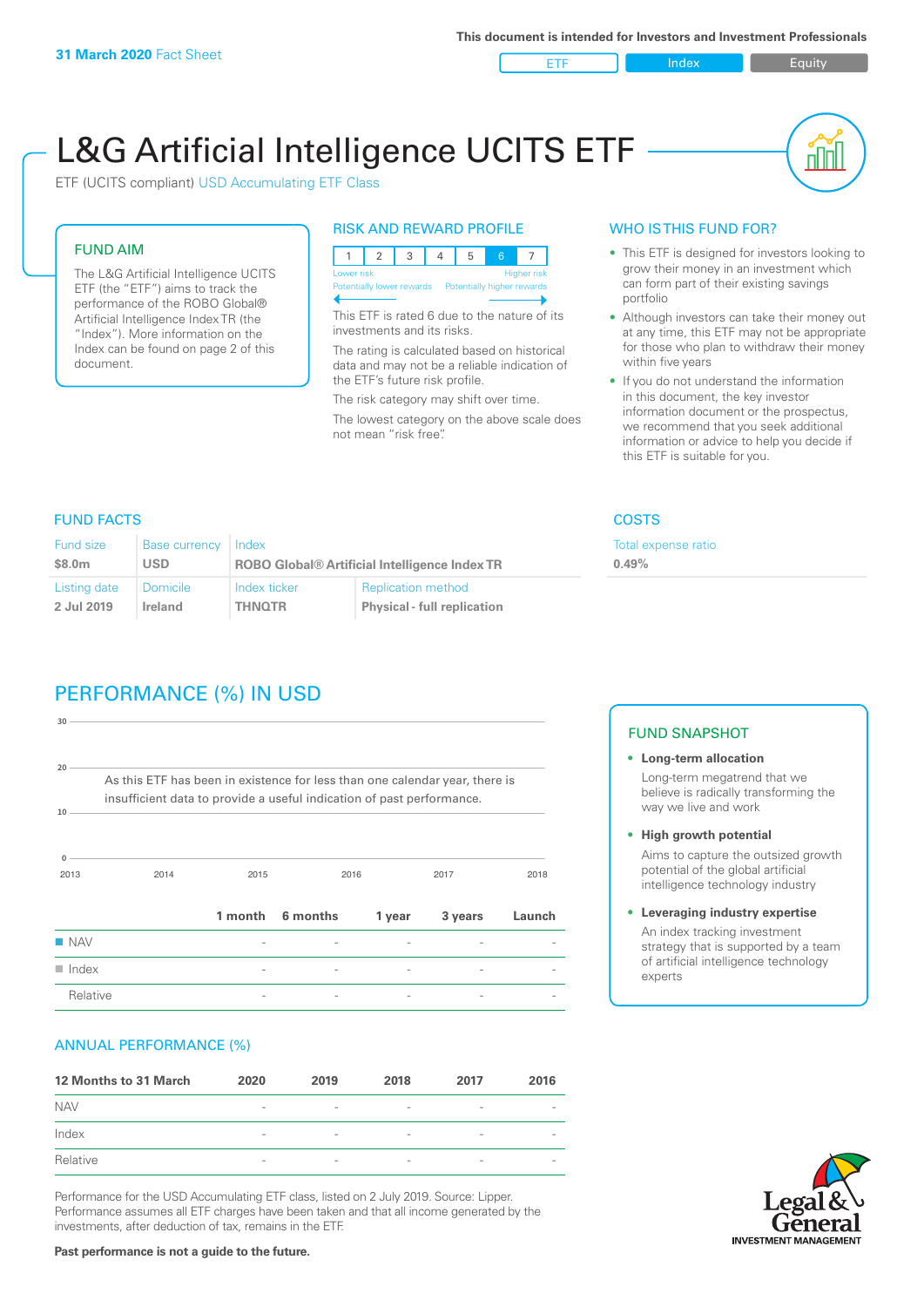ETF Index Requity

nl M

# L&G Artificial Intelligence UCITS ETF

ETF (UCITS compliant) USD Accumulating ETF Class

#### FUND AIM

The L&G Artificial Intelligence UCITS ETF (the "ETF") aims to track the performance of the ROBO Global® Artificial Intelligence Index TR (the "Index"). More information on the Index can be found on page 2 of this document.

#### RISK AND REWARD PROFILE



This ETF is rated 6 due to the nature of its investments and its risks.

The rating is calculated based on historical data and may not be a reliable indication of the ETF's future risk profile.

The risk category may shift over time. The lowest category on the above scale does not mean "risk free".

# WHO IS THIS FUND FOR?

- This ETF is designed for investors looking to grow their money in an investment which can form part of their existing savings portfolio
- Although investors can take their money out at any time, this ETF may not be appropriate for those who plan to withdraw their money within five years
- If you do not understand the information in this document, the key investor information document or the prospectus, we recommend that you seek additional information or advice to help you decide if this ETF is suitable for you.

## FUND FACTS COSTS

**0.49%**

Total expense ratio

| Fund size    | Base currency   | Index                                                |                                    |  |
|--------------|-----------------|------------------------------------------------------|------------------------------------|--|
| \$8.0m       | <b>USD</b>      | <b>ROBO Global® Artificial Intelligence Index TR</b> |                                    |  |
| Listing date | <b>Domicile</b> | Index ticker                                         | <b>Replication method</b>          |  |
| 2 Jul 2019   | Ireland         | <b>THNOTR</b>                                        | <b>Physical - full replication</b> |  |

# PERFORMANCE (%) IN USD

| 30                   |                                                                                                                                                      |         |          |        |         |        |
|----------------------|------------------------------------------------------------------------------------------------------------------------------------------------------|---------|----------|--------|---------|--------|
| 20<br>10             | As this ETF has been in existence for less than one calendar year, there is<br>insufficient data to provide a useful indication of past performance. |         |          |        |         |        |
| $\Omega$<br>2013     | 2014                                                                                                                                                 | 2015    |          | 2016   | 2017    | 2018   |
|                      |                                                                                                                                                      | 1 month | 6 months | 1 year | 3 years | Launch |
| $\blacksquare$ NAV   |                                                                                                                                                      |         |          |        |         |        |
| $\blacksquare$ Index |                                                                                                                                                      |         |          |        |         |        |
| Relative             |                                                                                                                                                      |         |          |        |         |        |

#### ANNUAL PERFORMANCE (%)

| 12 Months to 31 March | 2020                     | 2019                     | 2018                     | 2017                     | 2016                     |
|-----------------------|--------------------------|--------------------------|--------------------------|--------------------------|--------------------------|
| <b>NAV</b>            | $\overline{\phantom{a}}$ | $\sim$                   | $\overline{\phantom{a}}$ | $\qquad \qquad$          | $\overline{\phantom{a}}$ |
| Index                 | $\qquad \qquad$          | $\qquad \qquad$          | $\overline{\phantom{a}}$ | $\qquad \qquad$          | $\overline{\phantom{a}}$ |
| Relative              | $\overline{\phantom{a}}$ | $\overline{\phantom{a}}$ | $\overline{\phantom{a}}$ | $\overline{\phantom{0}}$ | $\overline{\phantom{a}}$ |

Performance for the USD Accumulating ETF class, listed on 2 July 2019. Source: Lipper. Performance assumes all ETF charges have been taken and that all income generated by the investments, after deduction of tax, remains in the ETF.

#### FUND SNAPSHOT

**• Long-term allocation** Long-term megatrend that we believe is radically transforming the way we live and work

**• High growth potential** Aims to capture the outsized growth potential of the global artificial intelligence technology industry

**• Leveraging industry expertise** An index tracking investment strategy that is supported by a team of artificial intelligence technology experts



**Past performance is not a guide to the future.**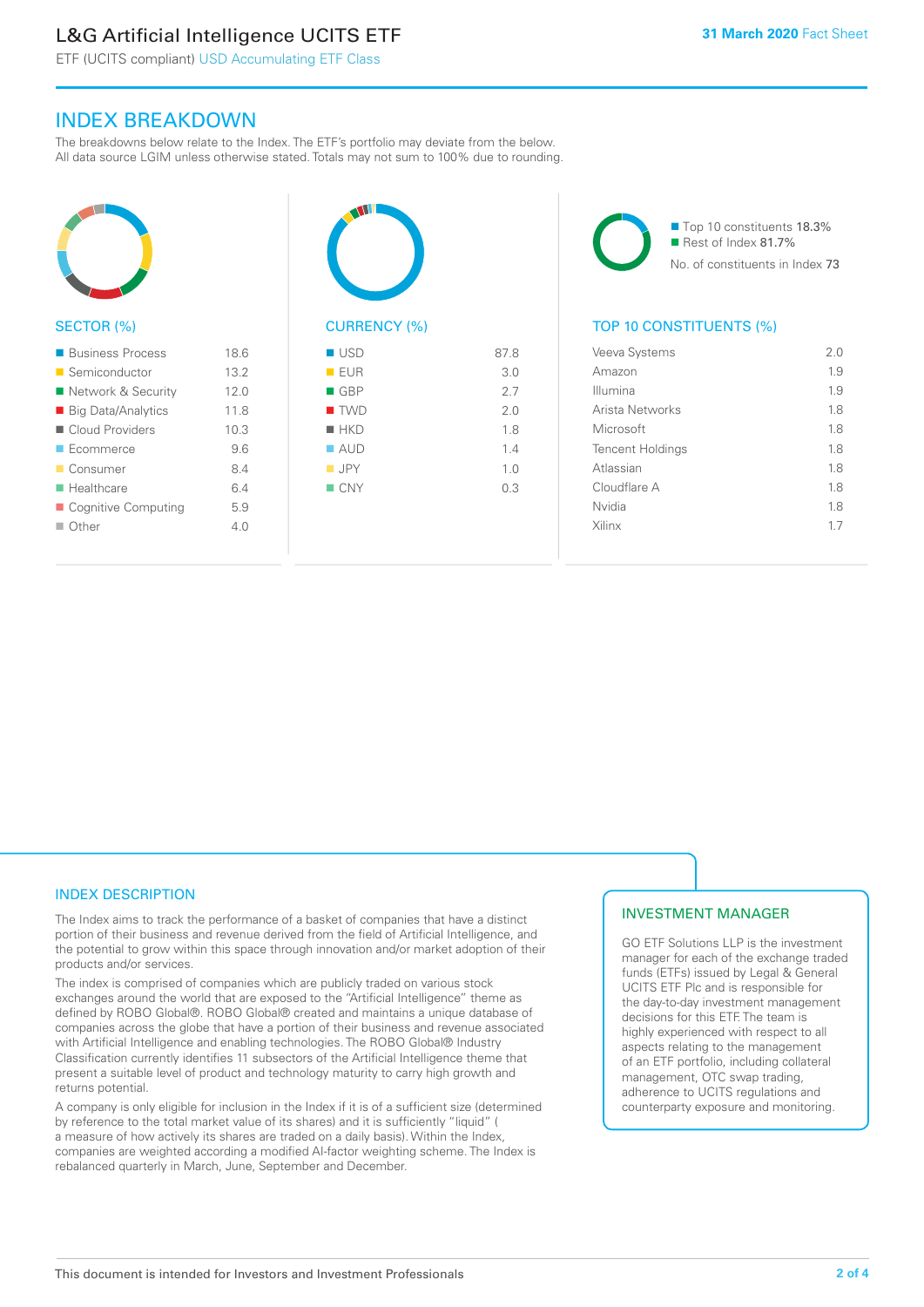# L&G Artificial Intelligence UCITS ETF

ETF (UCITS compliant) USD Accumulating ETF Class

# INDEX BREAKDOWN

The breakdowns below relate to the Index. The ETF's portfolio may deviate from the below. All data source LGIM unless otherwise stated. Totals may not sum to 100% due to rounding.



#### SECTOR (%)

| ■ Business Process        | 18.6 |
|---------------------------|------|
| ■ Semiconductor           | 13.2 |
| ■ Network & Security      | 12.0 |
| ■ Big Data/Analytics      | 118  |
| Cloud Providers           | 10.3 |
| $\blacksquare$ Ecommerce  | 9.6  |
| ■ Consumer                | 8.4  |
| $\blacksquare$ Healthcare | 64   |
| ■ Cognitive Computing     | 5.9  |
| $\Box$ Other              | 40   |
|                           |      |



| EUR                | 3.0 |
|--------------------|-----|
| $\blacksquare$ GBP | 2.7 |
| $\blacksquare$ TWD | 2.0 |
| $H$ HKD            | 1.8 |
| $\blacksquare$ AUD | 1.4 |
| $\blacksquare$ JPY | 1.0 |
| $\blacksquare$ CNY | 0.3 |
|                    |     |
|                    |     |

■ Top 10 constituents 18.3% Rest of Index 81.7% No. of constituents in Index 73

# TOP 10 CONSTITUENTS (%)

| Veeva Systems           | 2 O |
|-------------------------|-----|
| Amazon                  | 19  |
| Illumina                | 1.9 |
| Arista Networks         | 18  |
| Microsoft               | 1.8 |
| <b>Tencent Holdings</b> | 1.8 |
| Atlassian               | 18  |
| Cloudflare A            | 18  |
| Nvidia                  | 18  |
| Xilinx                  | 17  |
|                         |     |

## INDEX DESCRIPTION

The Index aims to track the performance of a basket of companies that have a distinct portion of their business and revenue derived from the field of Artificial Intelligence, and the potential to grow within this space through innovation and/or market adoption of their products and/or services.

The index is comprised of companies which are publicly traded on various stock exchanges around the world that are exposed to the "Artificial Intelligence" theme as defined by ROBO Global®. ROBO Global® created and maintains a unique database of companies across the globe that have a portion of their business and revenue associated with Artificial Intelligence and enabling technologies. The ROBO Global® Industry Classification currently identifies 11 subsectors of the Artificial Intelligence theme that present a suitable level of product and technology maturity to carry high growth and returns potential.

A company is only eligible for inclusion in the Index if it is of a sufficient size (determined by reference to the total market value of its shares) and it is sufficiently "liquid" ( a measure of how actively its shares are traded on a daily basis). Within the Index, companies are weighted according a modified AI-factor weighting scheme. The Index is rebalanced quarterly in March, June, September and December.

## INVESTMENT MANAGER

GO ETF Solutions LLP is the investment manager for each of the exchange traded funds (ETFs) issued by Legal & General UCITS ETF Plc and is responsible for the day-to-day investment management decisions for this ETF. The team is highly experienced with respect to all aspects relating to the management of an ETF portfolio, including collateral management, OTC swap trading, adherence to UCITS regulations and counterparty exposure and monitoring.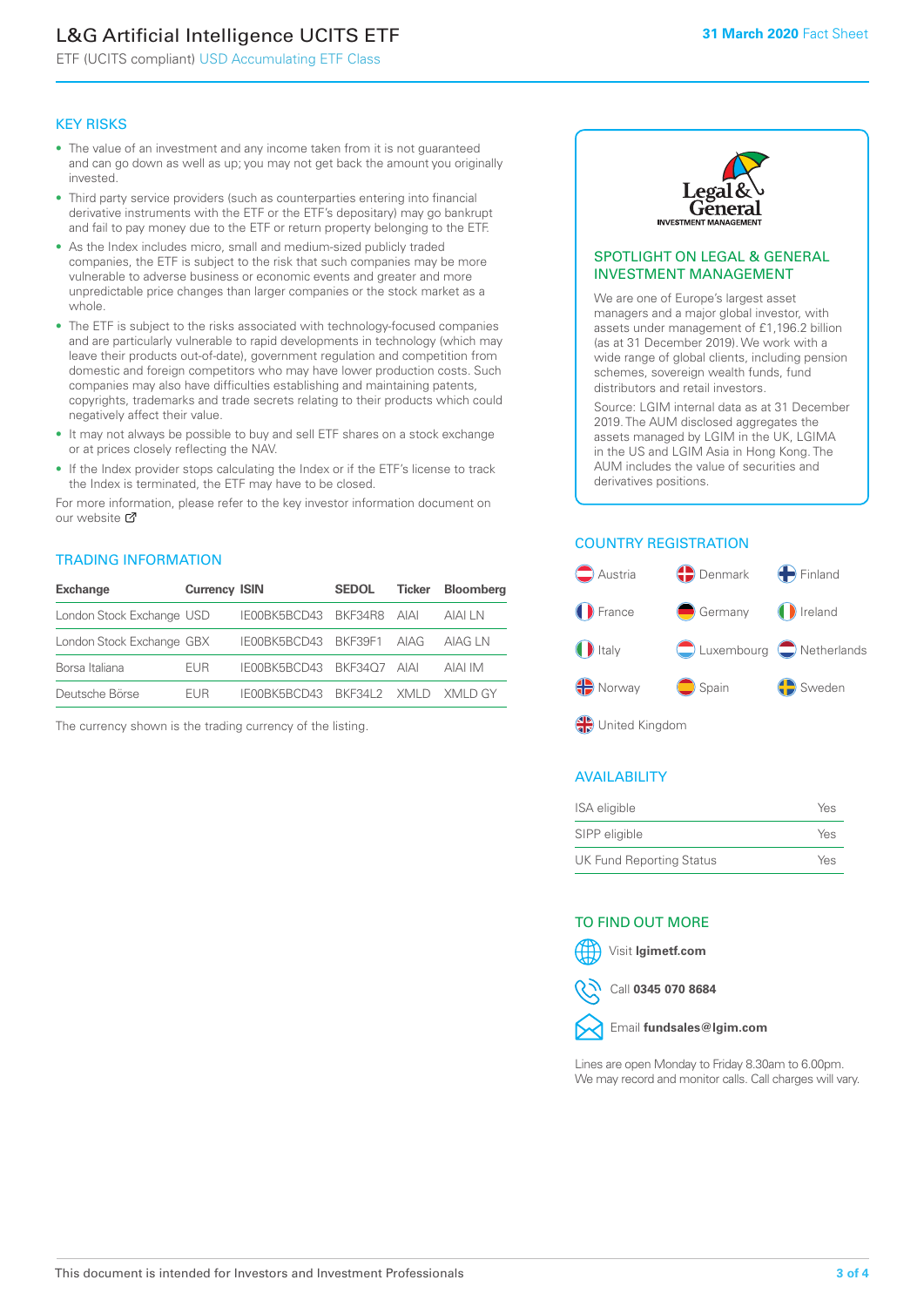# L&G Artificial Intelligence UCITS ETF

ETF (UCITS compliant) USD Accumulating ETF Class

#### KEY RISKS

- The value of an investment and any income taken from it is not guaranteed and can go down as well as up; you may not get back the amount you originally invested.
- Third party service providers (such as counterparties entering into financial derivative instruments with the ETF or the ETF's depositary) may go bankrupt and fail to pay money due to the ETF or return property belonging to the ETF.
- As the Index includes micro, small and medium-sized publicly traded companies, the ETF is subject to the risk that such companies may be more vulnerable to adverse business or economic events and greater and more unpredictable price changes than larger companies or the stock market as a whole.
- The ETF is subject to the risks associated with technology-focused companies and are particularly vulnerable to rapid developments in technology (which may leave their products out-of-date), government regulation and competition from domestic and foreign competitors who may have lower production costs. Such companies may also have difficulties establishing and maintaining patents, copyrights, trademarks and trade secrets relating to their products which could negatively affect their value.
- It may not always be possible to buy and sell ETF shares on a stock exchange or at prices closely reflecting the NAV.
- If the Index provider stops calculating the Index or if the ETF's license to track the Index is terminated, the ETF may have to be closed.

For more information, please refer to the key investor information document on our website Ø

## TRADING INFORMATION

| <b>Exchange</b>           | <b>Currency ISIN</b> |                                   | <b>SEDOL</b> | Ticker | <b>Bloomberg</b> |
|---------------------------|----------------------|-----------------------------------|--------------|--------|------------------|
| London Stock Exchange USD |                      | IE00BK5BCD43 BKF34R8 AIAI         |              |        | AIAI I N         |
| London Stock Exchange GBX |                      | IE00BK5BCD43 BKF39F1 AIAG         |              |        | AIAG I N         |
| Borsa Italiana            | <b>FUR</b>           | IE00BK5BCD43 BKF34O7 AIAI         |              |        | AIAI IM          |
| Deutsche Börse            | <b>FUR</b>           | IFOORK5BCD43 RKE34L2 XMLD XMLD GY |              |        |                  |

The currency shown is the trading currency of the listing.



#### SPOTLIGHT ON LEGAL & GENERAL INVESTMENT MANAGEMENT

We are one of Europe's largest asset managers and a major global investor, with assets under management of £1,196.2 billion (as at 31 December 2019). We work with a wide range of global clients, including pension schemes, sovereign wealth funds, fund distributors and retail investors.

Source: LGIM internal data as at 31 December 2019. The AUM disclosed aggregates the assets managed by LGIM in the UK, LGIMA in the US and LGIM Asia in Hong Kong. The AUM includes the value of securities and derivatives positions.

# COUNTRY REGISTRATION



## AVAILABILITY

| <b>ISA</b> eligible             | Yes |
|---------------------------------|-----|
| SIPP eligible                   | Yes |
| <b>UK Fund Reporting Status</b> | Yes |

#### TO FIND OUT MORE



Call **0345 070 8684**



Lines are open Monday to Friday 8.30am to 6.00pm. We may record and monitor calls. Call charges will vary.